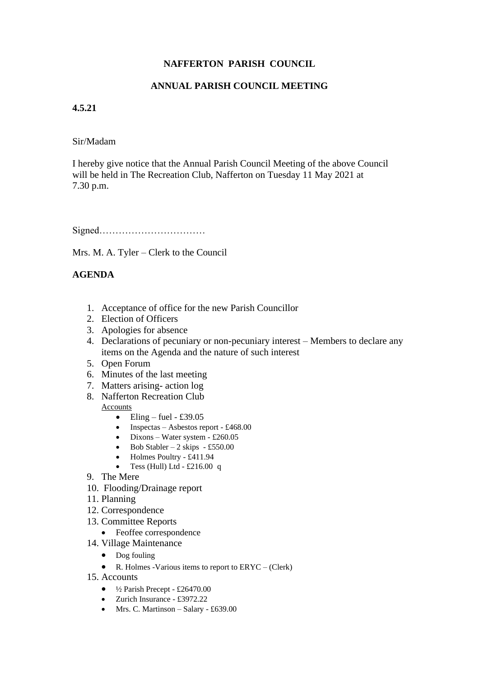# **NAFFERTON PARISH COUNCIL**

# **ANNUAL PARISH COUNCIL MEETING**

### **4.5.21**

#### Sir/Madam

I hereby give notice that the Annual Parish Council Meeting of the above Council will be held in The Recreation Club, Nafferton on Tuesday 11 May 2021 at 7.30 p.m.

Signed……………………………

Mrs. M. A. Tyler – Clerk to the Council

# **AGENDA**

- 1. Acceptance of office for the new Parish Councillor
- 2. Election of Officers
- 3. Apologies for absence
- 4. Declarations of pecuniary or non-pecuniary interest Members to declare any items on the Agenda and the nature of such interest
- 5. Open Forum
- 6. Minutes of the last meeting
- 7. Matters arising- action log
- 8. Nafferton Recreation Club

Accounts

- Eling fuel £39.05
- Inspectas Asbestos report £468.00
- Dixons Water system £260.05
- Bob Stabler 2 skips £550.00
- Holmes Poultry £411.94
- Tess (Hull) Ltd £216.00 q
- 9. The Mere
- 10. Flooding/Drainage report
- 11. Planning
- 12. Correspondence
- 13. Committee Reports
	- Feoffee correspondence
- 14. Village Maintenance
	- Dog fouling
	- R. Holmes -Various items to report to  $\text{ERYC} (\text{Clerk})$
- 15. Accounts
	- $\bullet$   $\frac{1}{2}$  Parish Precept £26470.00
	- Zurich Insurance £3972.22
	- Mrs. C. Martinson Salary £639.00